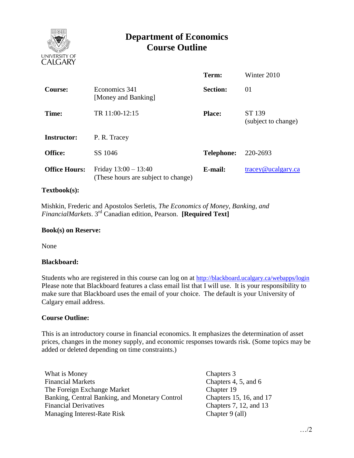

# **Department of Economics Course Outline**

|                      |                                                               | Term:             | Winter 2010                      |
|----------------------|---------------------------------------------------------------|-------------------|----------------------------------|
| <b>Course:</b>       | Economics 341<br>[Money and Banking]                          | <b>Section:</b>   | 01                               |
| Time:                | TR 11:00-12:15                                                | <b>Place:</b>     | ST 139<br>(subject to change)    |
| <b>Instructor:</b>   | P. R. Tracey                                                  |                   |                                  |
| Office:              | SS 1046                                                       | <b>Telephone:</b> | 220-2693                         |
| <b>Office Hours:</b> | Friday $13:00 - 13:40$<br>(These hours are subject to change) | E-mail:           | $trace\$ <sub>@ucalgary.ca</sub> |

#### **Textbook(s):**

 Mishkin, Frederic and Apostolos Serletis, *The Economics of Money, Banking, and*  FinancialMarkets. 3<sup>rd</sup> Canadian edition, Pearson. **[Required Text]** 

#### **Book(s) on Reserve:**

None

#### **Blackboard:**

Students who are registered in this course can log on at <http://blackboard.ucalgary.ca/webapps/login> Please note that Blackboard features a class email list that I will use. It is your responsibility to make sure that Blackboard uses the email of your choice. The default is your University of Calgary email address.

#### **Course Outline:**

This is an introductory course in financial economics. It emphasizes the determination of asset prices, changes in the money supply, and economic responses towards risk. (Some topics may be added or deleted depending on time constraints.)

What is Money Chapters 3 Financial Markets Chapters 4, 5, and 6 The Foreign Exchange Market Banking, Central Banking, and Monetary Control Financial Derivatives Managing Interest-Rate Risk

Chapter 19 Chapters 15, 16, and 17 Chapters 7, 12, and 13 Chapter 9 (all)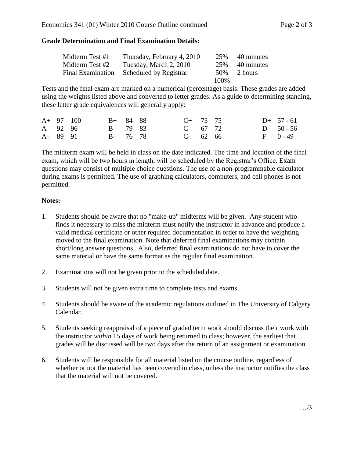## **Grade Determination and Final Examination Details:**

| Midterm Test #1 | Thursday, February 4, 2010               | 25%  | 40 minutes     |
|-----------------|------------------------------------------|------|----------------|
| Midterm Test #2 | Tuesday, March 2, 2010                   | 25%  | 40 minutes     |
|                 | Final Examination Scheduled by Registrar |      | $50\%$ 2 hours |
|                 |                                          | 100% |                |

Tests and the final exam are marked on a numerical (percentage) basis. These grades are added using the weights listed above and converted to letter grades. As a guide to determining standing, these letter grade equivalences will generally apply:

| $A+97-100$    | $B+ 84-88$    | $C+ 73-75$    | $D+ 57 - 61$ |
|---------------|---------------|---------------|--------------|
| A $92 - 96$   | $B = 79 - 83$ | C $67 - 72$   | D $50 - 56$  |
| $A - 89 - 91$ | $B - 76 - 78$ | $C - 62 - 66$ | $F = 0 - 49$ |

The midterm exam will be held in class on the date indicated. The time and location of the final exam, which will be two hours in length, will be scheduled by the Registrar's Office. Exam questions may consist of multiple choice questions. The use of a non-programmable calculator during exams is permitted. The use of graphing calculators, computers, and cell phones is not permitted.

### **Notes:**

- 1. Students should be aware that no "make-up" midterms will be given. Any student who finds it necessary to miss the midterm must notify the instructor in advance and produce a valid medical certificate or other required documentation in order to have the weighting moved to the final examination. Note that deferred final examinations may contain short/long answer questions. Also, deferred final examinations do not have to cover the same material or have the same format as the regular final examination.
- 2. Examinations will not be given prior to the scheduled date.
- 3. Students will not be given extra time to complete tests and exams.
- 4. Students should be aware of the academic regulations outlined in The University of Calgary Calendar.
- 5. Students seeking reappraisal of a piece of graded term work should discuss their work with the instructor *within* 15 days of work being returned to class; however, the earliest that grades will be discussed will be two days after the return of an assignment or examination.
- 6. Students will be responsible for all material listed on the course outline, regardless of whether or not the material has been covered in class, unless the instructor notifies the class that the material will not be covered.